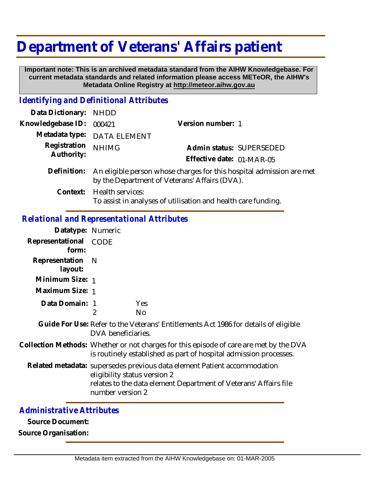# **Department of Veterans' Affairs patient**

 **Important note: This is an archived metadata standard from the AIHW Knowledgebase. For current metadata standards and related information please access METeOR, the AIHW's Metadata Online Registry at http://meteor.aihw.gov.au**

### *Identifying and Definitional Attributes*

| Data Dictionary:           | NHDD                                                                                                                  |                                                               |                          |
|----------------------------|-----------------------------------------------------------------------------------------------------------------------|---------------------------------------------------------------|--------------------------|
| Knowledgebase ID:          | 000421                                                                                                                | Version number: 1                                             |                          |
|                            | Metadata type: DATA ELEMENT                                                                                           |                                                               |                          |
| Registration<br>Authority: | <b>NHIMG</b>                                                                                                          |                                                               | Admin status: SUPERSEDED |
|                            |                                                                                                                       | Effective date: 01-MAR-05                                     |                          |
| Definition:                | An eligible person whose charges for this hospital admission are met<br>by the Department of Veterans' Affairs (DVA). |                                                               |                          |
| Context:                   | Health services:                                                                                                      | To assist in analyses of utilisation and health care funding. |                          |

### *Relational and Representational Attributes*

| Datatype: Numeric         |                                                                                                                                                                                                  |  |  |
|---------------------------|--------------------------------------------------------------------------------------------------------------------------------------------------------------------------------------------------|--|--|
| Representational<br>form: | CODE                                                                                                                                                                                             |  |  |
| Representation<br>layout: | - N                                                                                                                                                                                              |  |  |
| Minimum Size: 1           |                                                                                                                                                                                                  |  |  |
| Maximum Size: 1           |                                                                                                                                                                                                  |  |  |
| Data Domain: 1            | Yes<br><b>No</b><br>2                                                                                                                                                                            |  |  |
|                           | Guide For Use: Refer to the Veterans' Entitlements Act 1986 for details of eligible<br>DVA beneficiaries.                                                                                        |  |  |
|                           | Collection Methods: Whether or not charges for this episode of care are met by the DVA<br>is routinely established as part of hospital admission processes.                                      |  |  |
|                           | Related metadata: supersedes previous data element Patient accommodation<br>eligibility status version 2<br>relates to the data element Department of Veterans' Affairs file<br>number version 2 |  |  |

## *Administrative Attributes*

**Source Document:**

**Source Organisation:**